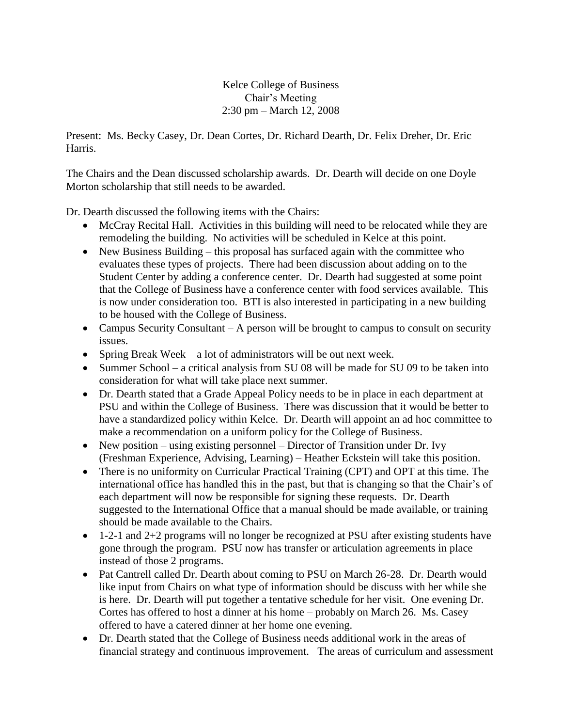Kelce College of Business Chair's Meeting 2:30 pm – March 12, 2008

Present: Ms. Becky Casey, Dr. Dean Cortes, Dr. Richard Dearth, Dr. Felix Dreher, Dr. Eric Harris.

The Chairs and the Dean discussed scholarship awards. Dr. Dearth will decide on one Doyle Morton scholarship that still needs to be awarded.

Dr. Dearth discussed the following items with the Chairs:

- McCray Recital Hall. Activities in this building will need to be relocated while they are remodeling the building. No activities will be scheduled in Kelce at this point.
- New Business Building this proposal has surfaced again with the committee who evaluates these types of projects. There had been discussion about adding on to the Student Center by adding a conference center. Dr. Dearth had suggested at some point that the College of Business have a conference center with food services available. This is now under consideration too. BTI is also interested in participating in a new building to be housed with the College of Business.
- Campus Security Consultant A person will be brought to campus to consult on security issues.
- Spring Break Week a lot of administrators will be out next week.
- Summer School a critical analysis from SU 08 will be made for SU 09 to be taken into consideration for what will take place next summer.
- Dr. Dearth stated that a Grade Appeal Policy needs to be in place in each department at PSU and within the College of Business. There was discussion that it would be better to have a standardized policy within Kelce. Dr. Dearth will appoint an ad hoc committee to make a recommendation on a uniform policy for the College of Business.
- New position using existing personnel Director of Transition under Dr. Ivy (Freshman Experience, Advising, Learning) – Heather Eckstein will take this position.
- There is no uniformity on Curricular Practical Training (CPT) and OPT at this time. The international office has handled this in the past, but that is changing so that the Chair's of each department will now be responsible for signing these requests. Dr. Dearth suggested to the International Office that a manual should be made available, or training should be made available to the Chairs.
- 1-2-1 and 2+2 programs will no longer be recognized at PSU after existing students have gone through the program. PSU now has transfer or articulation agreements in place instead of those 2 programs.
- Pat Cantrell called Dr. Dearth about coming to PSU on March 26-28. Dr. Dearth would like input from Chairs on what type of information should be discuss with her while she is here. Dr. Dearth will put together a tentative schedule for her visit. One evening Dr. Cortes has offered to host a dinner at his home – probably on March 26. Ms. Casey offered to have a catered dinner at her home one evening.
- Dr. Dearth stated that the College of Business needs additional work in the areas of financial strategy and continuous improvement. The areas of curriculum and assessment